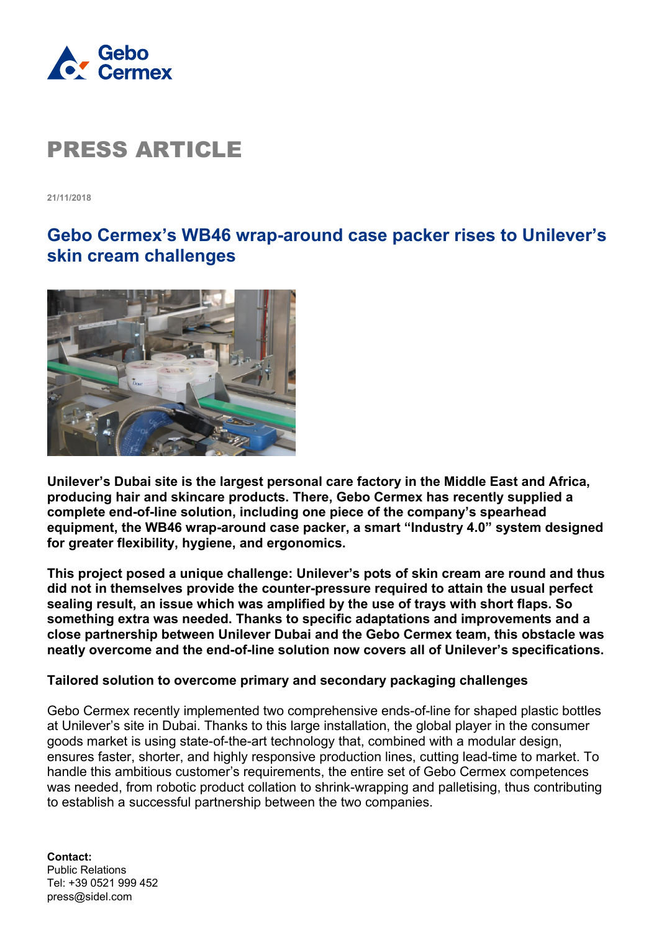

**21/11/2018**

### **Gebo Cermex's WB46 wrap-around case packer rises to Unilever's skin cream challenges**



**Unilever's Dubai site is the largest personal care factory in the Middle East and Africa, producing hair and skincare products. There, Gebo Cermex has recently supplied a complete end-of-line solution, including one piece of the company's spearhead equipment, the WB46 wrap-around case packer, a smart "Industry 4.0" system designed for greater flexibility, hygiene, and ergonomics.**

**This project posed a unique challenge: Unilever's pots of skin cream are round and thus did not in themselves provide the counter-pressure required to attain the usual perfect sealing result, an issue which was amplified by the use of trays with short flaps. So something extra was needed. Thanks to specific adaptations and improvements and a close partnership between Unilever Dubai and the Gebo Cermex team, this obstacle was neatly overcome and the end-of-line solution now covers all of Unilever's specifications.**

### **Tailored solution to overcome primary and secondary packaging challenges**

Gebo Cermex recently implemented two comprehensive ends-of-line for shaped plastic bottles at Unilever's site in Dubai. Thanks to this large installation, the global player in the consumer goods market is using state-of-the-art technology that, combined with a modular design, ensures faster, shorter, and highly responsive production lines, cutting lead-time to market. To handle this ambitious customer's requirements, the entire set of Gebo Cermex competences was needed, from robotic product collation to shrink-wrapping and palletising, thus contributing to establish a successful partnership between the two companies.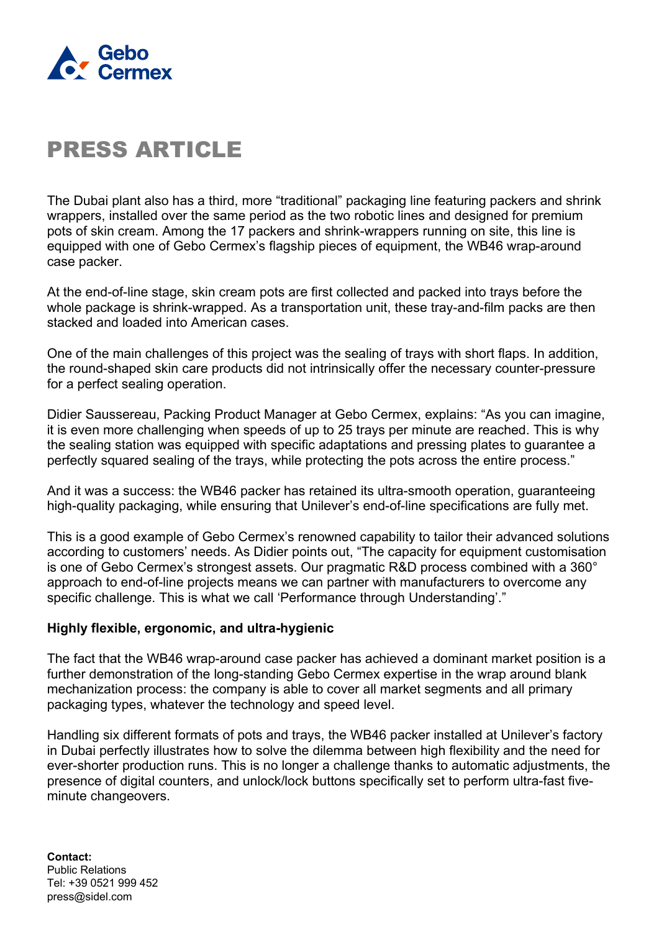

The Dubai plant also has a third, more "traditional" packaging line featuring packers and shrink wrappers, installed over the same period as the two robotic lines and designed for premium pots of skin cream. Among the 17 packers and shrink-wrappers running on site, this line is equipped with one of Gebo Cermex's flagship pieces of equipment, the WB46 wrap-around case packer.

At the end-of-line stage, skin cream pots are first collected and packed into trays before the whole package is shrink-wrapped. As a transportation unit, these tray-and-film packs are then stacked and loaded into American cases.

One of the main challenges of this project was the sealing of trays with short flaps. In addition, the round-shaped skin care products did not intrinsically offer the necessary counter-pressure for a perfect sealing operation.

Didier Saussereau, Packing Product Manager at Gebo Cermex, explains: "As you can imagine, it is even more challenging when speeds of up to 25 trays per minute are reached. This is why the sealing station was equipped with specific adaptations and pressing plates to guarantee a perfectly squared sealing of the trays, while protecting the pots across the entire process."

And it was a success: the WB46 packer has retained its ultra-smooth operation, guaranteeing high-quality packaging, while ensuring that Unilever's end-of-line specifications are fully met.

This is a good example of Gebo Cermex's renowned capability to tailor their advanced solutions according to customers' needs. As Didier points out, "The capacity for equipment customisation is one of Gebo Cermex's strongest assets. Our pragmatic R&D process combined with a 360° approach to end-of-line projects means we can partner with manufacturers to overcome any specific challenge. This is what we call 'Performance through Understanding'."

### **Highly flexible, ergonomic, and ultra-hygienic**

The fact that the WB46 wrap-around case packer has achieved a dominant market position is a further demonstration of the long-standing Gebo Cermex expertise in the wrap around blank mechanization process: the company is able to cover all market segments and all primary packaging types, whatever the technology and speed level.

Handling six different formats of pots and trays, the WB46 packer installed at Unilever's factory in Dubai perfectly illustrates how to solve the dilemma between high flexibility and the need for ever-shorter production runs. This is no longer a challenge thanks to automatic adjustments, the presence of digital counters, and unlock/lock buttons specifically set to perform ultra-fast fiveminute changeovers.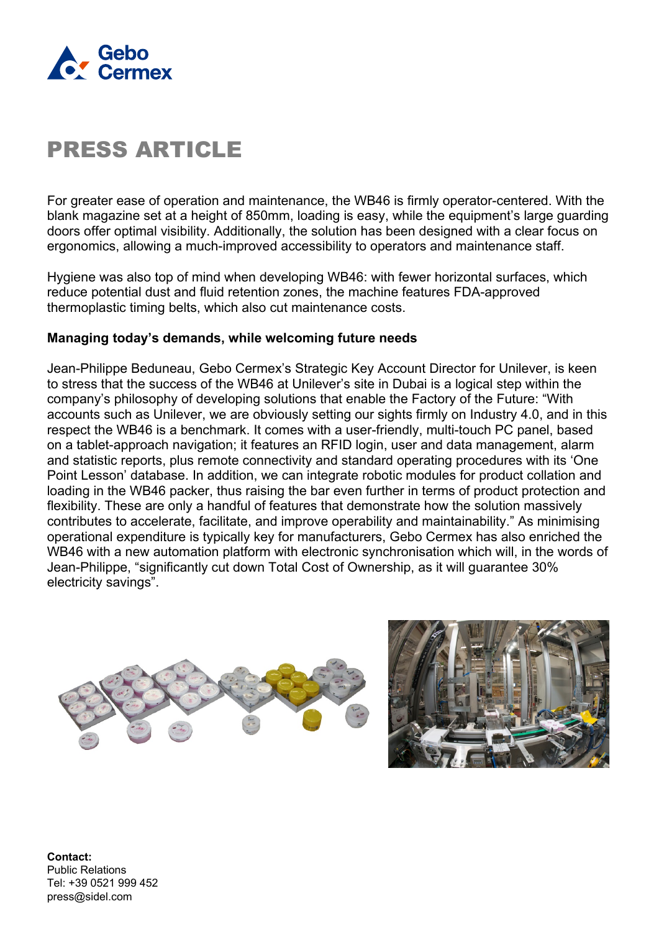

For greater ease of operation and maintenance, the WB46 is firmly operator-centered. With the blank magazine set at a height of 850mm, loading is easy, while the equipment's large guarding doors offer optimal visibility. Additionally, the solution has been designed with a clear focus on ergonomics, allowing a much-improved accessibility to operators and maintenance staff.

Hygiene was also top of mind when developing WB46: with fewer horizontal surfaces, which reduce potential dust and fluid retention zones, the machine features FDA-approved thermoplastic timing belts, which also cut maintenance costs.

### **Managing today's demands, while welcoming future needs**

Jean-Philippe Beduneau, Gebo Cermex's Strategic Key Account Director for Unilever, is keen to stress that the success of the WB46 at Unilever's site in Dubai is a logical step within the company's philosophy of developing solutions that enable the Factory of the Future: "With accounts such as Unilever, we are obviously setting our sights firmly on Industry 4.0, and in this respect the WB46 is a benchmark. It comes with a user-friendly, multi-touch PC panel, based on a tablet-approach navigation; it features an RFID login, user and data management, alarm and statistic reports, plus remote connectivity and standard operating procedures with its 'One Point Lesson' database. In addition, we can integrate robotic modules for product collation and loading in the WB46 packer, thus raising the bar even further in terms of product protection and flexibility. These are only a handful of features that demonstrate how the solution massively contributes to accelerate, facilitate, and improve operability and maintainability." As minimising operational expenditure is typically key for manufacturers, Gebo Cermex has also enriched the WB46 with a new automation platform with electronic synchronisation which will, in the words of Jean-Philippe, "significantly cut down Total Cost of Ownership, as it will guarantee 30% electricity savings".



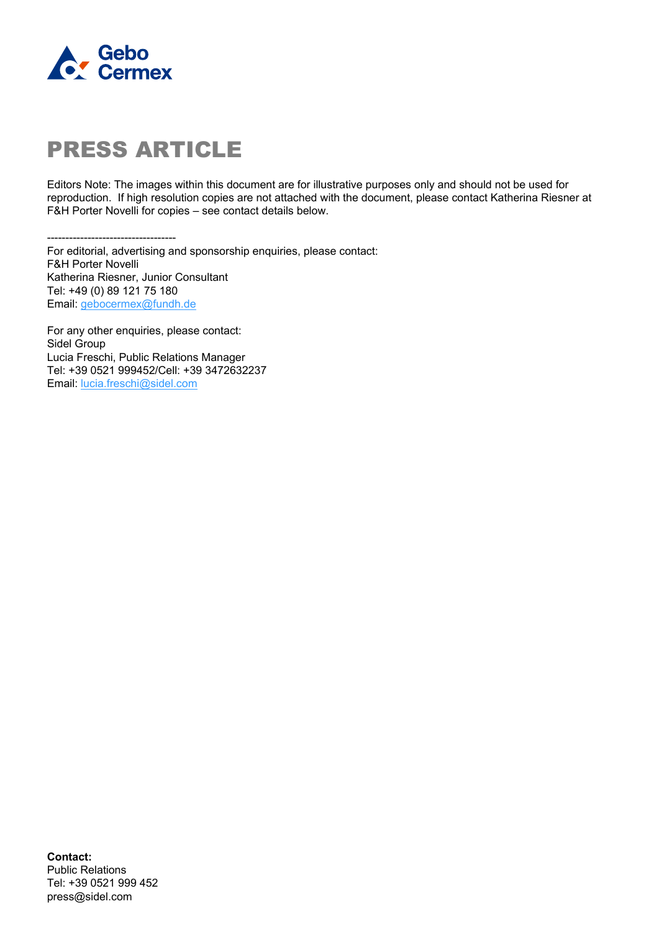

Editors Note: The images within this document are for illustrative purposes only and should not be used for reproduction. If high resolution copies are not attached with the document, please contact Katherina Riesner at F&H Porter Novelli for copies – see contact details below.

----------------------------------- For editorial, advertising and sponsorship enquiries, please contact:

F&H Porter Novelli Katherina Riesner, Junior Consultant Tel: +49 (0) 89 121 75 180 Email: [gebocermex@fundh.de](mailto:gebocermex@fundh.de)

For any other enquiries, please contact: Sidel Group Lucia Freschi, Public Relations Manager Tel: +39 0521 999452/Cell: +39 3472632237 Email: [lucia.freschi@sidel.com](mailto:lucia.freschi@sidel.com)